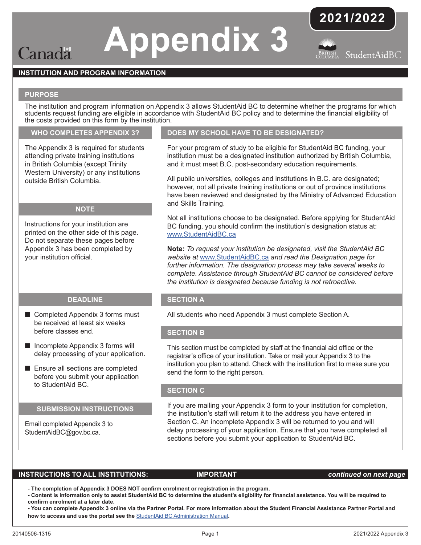## **Appendix 3**

## **2021/2022**



## **INSTITUTION AND PROGRAM INFORMATION**

#### **PURPOSE**

Canada

The institution and program information on Appendix 3 allows StudentAid BC to determine whether the programs for which students request funding are eligible in accordance with StudentAid BC policy and to determine the financial eligibility of the costs provided on this form by the institution.

#### **WHO COMPLETES APPENDIX 3?**

The Appendix 3 is required for students attending private training institutions in British Columbia (except Trinity Western University) or any institutions outside British Columbia.

#### **NOTE**

Instructions for your institution are printed on the other side of this page. Do not separate these pages before Appendix 3 has been completed by your institution official.

#### **DEADLINE**

- Completed Appendix 3 forms must be received at least six weeks before classes end.
- Incomplete Appendix 3 forms will delay processing of your application.
- Ensure all sections are completed before you submit your application to StudentAid BC.

#### **SUBMISSION INSTRUCTIONS**

Email completed Appendix 3 to StudentAidBC@gov.bc.ca.

### **DOES MY SCHOOL HAVE TO BE DESIGNATED?**

For your program of study to be eligible for StudentAid BC funding, your institution must be a designated institution authorized by British Columbia, and it must meet B.C. post-secondary education requirements.

All public universities, colleges and institutions in B.C. are designated; however, not all private training institutions or out of province institutions have been reviewed and designated by the Ministry of Advanced Education and Skills Training.

Not all institutions choose to be designated. Before applying for StudentAid BC funding, you should confirm the institution's designation status at: [www.StudentAidBC.ca](http://www.StudentAidBC.ca)

**Note:** *To request your institution be designated, visit the StudentAid BC website at* [www.StudentAidBC.ca](http://www.StudentAidBC.ca) *and read the Designation page for further information. The designation process may take several weeks to complete. Assistance through StudentAid BC cannot be considered before the institution is designated because funding is not retroactive.*

#### **SECTION A**

All students who need Appendix 3 must complete Section A.

#### **SECTION B**

This section must be completed by staff at the financial aid office or the registrar's office of your institution. Take or mail your Appendix 3 to the institution you plan to attend. Check with the institution first to make sure you send the form to the right person.

#### **SECTION C**

If you are mailing your Appendix 3 form to your institution for completion, the institution's staff will return it to the address you have entered in Section C. An incomplete Appendix 3 will be returned to you and will delay processing of your application. Ensure that you have completed all sections before you submit your application to StudentAid BC.

#### **INSTRUCTIONS TO ALL INSTITUTIONS: IMPORTANT** *continued on next page*

 **- The completion of Appendix 3 DOES NOT confirm enrolment or registration in the program.**

- Content is information only to assist StudentAid BC to determine the student's eligibility for financial assistance. You will be required to **confirm enrolment at a later date.**

- You can complete Appendix 3 online via the Partner Portal. For more information about the Student Financial Assistance Partner Portal and **how to access and use the portal see the** [StudentAid BC Administration Manual](https://studentaidbc.ca/sites/all/files/school-officials/admin_manual.pdf)**.**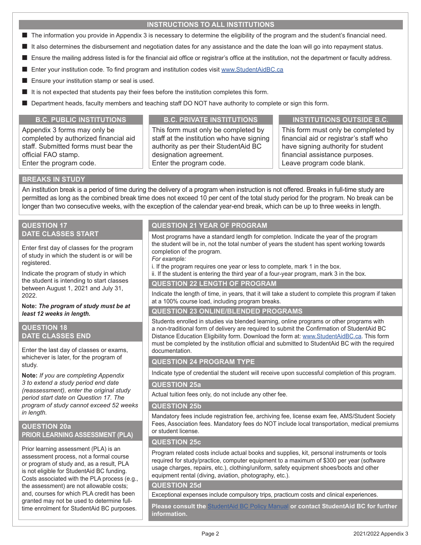### **INSTRUCTIONS TO ALL INSTITUTIONS**

- The information you provide in Appendix 3 is necessary to determine the eligibility of the program and the student's financial need.
- It also determines the disbursement and negotiation dates for any assistance and the date the loan will go into repayment status.
- Ensure the mailing address listed is for the financial aid office or registrar's office at the institution, not the department or faculty address.
- Enter your institution code. To find program and institution codes visit [www.StudentAidBC.ca](http://www.StudentAidBC.ca)
- Ensure your institution stamp or seal is used.
- It is not expected that students pay their fees before the institution completes this form.
- Department heads, faculty members and teaching staff DO NOT have authority to complete or sign this form.

Appendix 3 forms may only be completed by authorized financial aid staff. Submitted forms must bear the official FAO stamp. Enter the program code.

This form must only be completed by staff at the institution who have signing authority as per their StudentAid BC designation agreement. Enter the program code.

#### **B.C. PUBLIC INSTITUTIONS B.C. PRIVATE INSTITUTIONS INSTITUTIONS OUTSIDE B.C.**

This form must only be completed by financial aid or registrar's staff who have signing authority for student financial assistance purposes. Leave program code blank.

#### **BREAKS IN STUDY**

An institution break is a period of time during the delivery of a program when instruction is not offered. Breaks in full-time study are permitted as long as the combined break time does not exceed 10 per cent of the total study period for the program. No break can be longer than two consecutive weeks, with the exception of the calendar year-end break, which can be up to three weeks in length.

#### **QUESTION 17 DATE CLASSES START**

Enter first day of classes for the program of study in which the student is or will be registered.

Indicate the program of study in which the student is intending to start classes between August 1, 2021 and July 31, 2022.

**Note:** *The program of study must be at least 12 weeks in length.*

#### **QUESTION 18 DATE CLASSES END**

Enter the last day of classes or exams, whichever is later, for the program of study.

**Note:** *If you are completing Appendix 3 to extend a study period end date (reassessment), enter the original study period start date on Question 17. The program of study cannot exceed 52 weeks in length.* 

### **QUESTION 20a PRIOR LEARNING ASSESSMENT (PLA)**

Prior learning assessment (PLA) is an assessment process, not a formal course or program of study and, as a result, PLA is not eligible for StudentAid BC funding. Costs associated with the PLA process (e.g., the assessment) are not allowable costs; and, courses for which PLA credit has been granted may not be used to determine fulltime enrolment for StudentAid BC purposes.

### **QUESTION 21 YEAR OF PROGRAM**

Most programs have a standard length for completion. Indicate the year of the program the student will be in, not the total number of years the student has spent working towards completion of the program.

*For example:* 

i. If the program requires one year or less to complete, mark 1 in the box.

ii. If the student is entering the third year of a four-year program, mark 3 in the box.

#### **QUESTION 22 LENGTH OF PROGRAM**

Indicate the length of time, in years, that it will take a student to complete this program if taken at a 100% course load, including program breaks.

### **QUESTION 23 ONLINE/BLENDED PROGRAMS**

Students enrolled in studies via blended learning, online programs or other programs with a non-traditional form of delivery are required to submit the Confirmation of StudentAid BC Distance Education Eligibility form. Download the form at: [www.StudentAidBC.ca.](http://www.StudentAidBC.ca) This form must be completed by the institution official and submitted to StudentAid BC with the required documentation.

#### **QUESTION 24 PROGRAM TYPE**

Indicate type of credential the student will receive upon successful completion of this program.

#### **QUESTION 25a**

Actual tuition fees only, do not include any other fee.

#### **QUESTION 25b**

Mandatory fees include registration fee, archiving fee, license exam fee, AMS/Student Society Fees, Association fees. Mandatory fees do NOT include local transportation, medical premiums or student license.

#### **QUESTION 25c**

Program related costs include actual books and supplies, kit, personal instruments or tools required for study/practice, computer equipment to a maximum of \$300 per year (software usage charges, repairs, etc.), clothing/uniform, safety equipment shoes/boots and other equipment rental (diving, aviation, photography, etc.).

#### **QUESTION 25d**

Exceptional expenses include compulsory trips, practicum costs and clinical experiences.

**Please consult the** [StudentAid BC Policy Manual](https://studentaidbc.ca/sites/all/files/school-officials/policy_manual.pdf) **or contact StudentAid BC for further information.**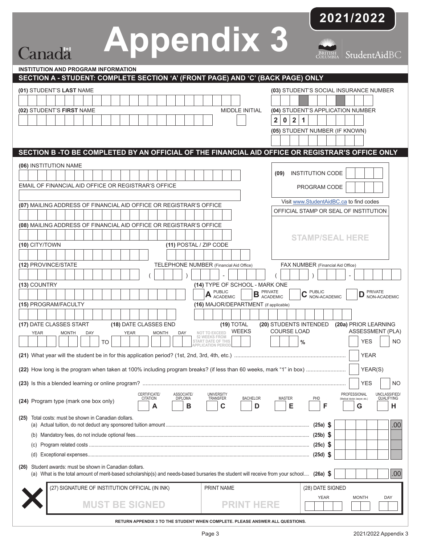# **Appendix 3**

Canadä

**2021/2022**

BRITISH StudentAidBC

| <b>INSTITUTION AND PROGRAM INFORMATION</b>                                                                                                                                                            |                                                                                                                                 |
|-------------------------------------------------------------------------------------------------------------------------------------------------------------------------------------------------------|---------------------------------------------------------------------------------------------------------------------------------|
| SECTION A - STUDENT: COMPLETE SECTION 'A' (FRONT PAGE) AND 'C' (BACK PAGE) ONLY                                                                                                                       |                                                                                                                                 |
| (01) STUDENT'S LAST NAME                                                                                                                                                                              | (03) STUDENT'S SOCIAL INSURANCE NUMBER                                                                                          |
| (02) STUDENT'S FIRST NAME<br><b>MIDDLE INITIAL</b>                                                                                                                                                    | (04) STUDENT'S APPLICATION NUMBER                                                                                               |
|                                                                                                                                                                                                       | $\overline{2}$<br>$\overline{2}$<br>1<br>$\mathbf 0$                                                                            |
|                                                                                                                                                                                                       | (05) STUDENT NUMBER (IF KNOWN)                                                                                                  |
|                                                                                                                                                                                                       |                                                                                                                                 |
| SECTION B -TO BE COMPLETED BY AN OFFICIAL OF THE FINANCIAL AID OFFICE OR REGISTRAR'S OFFICE ONLY                                                                                                      |                                                                                                                                 |
| (06) INSTITUTION NAME                                                                                                                                                                                 |                                                                                                                                 |
|                                                                                                                                                                                                       | <b>INSTITUTION CODE</b><br>(09)                                                                                                 |
| EMAIL OF FINANCIAL AID OFFICE OR REGISTRAR'S OFFICE                                                                                                                                                   | PROGRAM CODE                                                                                                                    |
|                                                                                                                                                                                                       | Visit www.StudentAidBC.ca to find codes                                                                                         |
| (07) MAILING ADDRESS OF FINANCIAL AID OFFICE OR REGISTRAR'S OFFICE                                                                                                                                    | OFFICIAL STAMP OR SEAL OF INSTITUTION                                                                                           |
|                                                                                                                                                                                                       |                                                                                                                                 |
| (08) MAILING ADDRESS OF FINANCIAL AID OFFICE OR REGISTRAR'S OFFICE                                                                                                                                    |                                                                                                                                 |
| (11) POSTAL / ZIP CODE                                                                                                                                                                                | <b>STAMP/SEAL HERE</b>                                                                                                          |
| (10) CITY/TOWN                                                                                                                                                                                        |                                                                                                                                 |
| (12) PROVINCE/STATE<br>TELEPHONE NUMBER (Financial Aid Office)                                                                                                                                        | FAX NUMBER (Financial Aid Office)                                                                                               |
|                                                                                                                                                                                                       |                                                                                                                                 |
| (13) COUNTRY<br>(14) TYPE OF SCHOOL - MARK ONE                                                                                                                                                        |                                                                                                                                 |
| <b>PUBLIC</b><br><b>B</b> PRIVATE ACADEMIC<br>A PUBLIC                                                                                                                                                | <b>C</b> PUBLIC<br>NON-ACADEMIC<br><b>PRIVATE</b><br>D                                                                          |
| (15) PROGRAM/FACULTY<br>(16) MAJOR/DEPARTMENT (if applicable)                                                                                                                                         | NON-ACADEMIC                                                                                                                    |
|                                                                                                                                                                                                       |                                                                                                                                 |
| (17) DATE CLASSES START<br>(18) DATE CLASSES END<br>$(19)$ TOTAL                                                                                                                                      | (20) STUDENTS INTENDED<br>(20a) PRIOR LEARNING                                                                                  |
| <b>WEEKS</b><br>NOT TO EXCEED<br><b>YEAR</b><br><b>YEAR</b><br><b>MONTH</b><br>DAY<br><b>MONTH</b><br>DAY<br>52 WEEKS FROM                                                                            | <b>COURSE LOAD</b><br>ASSESSMENT (PLA)                                                                                          |
| START DATE OF THIS<br>TO<br><b>ATION PERIOL</b>                                                                                                                                                       | $\frac{0}{0}$<br><b>YES</b><br><b>NO</b>                                                                                        |
|                                                                                                                                                                                                       | <b>YEAR</b>                                                                                                                     |
|                                                                                                                                                                                                       | YEAR(S)                                                                                                                         |
|                                                                                                                                                                                                       | <b>YES</b><br>ΝO                                                                                                                |
| CERTIFICATE/<br>ASSOCIATE/<br><b>UNIVERSITY</b><br>TRANSFER<br><b>CITATION</b><br><b>DIPLOMA</b><br><b>BACHELOR</b><br>(24) Program type (mark one box only)<br>в<br>С<br>D<br>А                      | PROFESSIONAL<br><b>UNCLASSIFIED</b><br><b>MASTER</b><br>QUALIFYING<br>PHD<br>(Medical doctor, lawyer, etc.)<br>Е<br>F<br>G<br>н |
| Total costs: must be shown in Canadian dollars.<br>(25)                                                                                                                                               | .00<br>$(25a)$ \$                                                                                                               |
|                                                                                                                                                                                                       |                                                                                                                                 |
|                                                                                                                                                                                                       | $(25c)$ \$                                                                                                                      |
|                                                                                                                                                                                                       | $(25d)$ \$                                                                                                                      |
| Student awards: must be shown in Canadian dollars.<br>(26)<br>(a) What is the total amount of merit-based scholarship(s) and needs-based bursaries the student will receive from your school (26a) \$ | .00                                                                                                                             |
| (27) SIGNATURE OF INSTITUTION OFFICIAL (IN INK)<br>PRINT NAME                                                                                                                                         | (28) DATE SIGNED                                                                                                                |
| <b>MUST BE SIGNED</b><br><b>PRINT HERE</b>                                                                                                                                                            | YEAR<br><b>MONTH</b><br>DAY                                                                                                     |
| RETURN APPENDIX 3 TO THE STUDENT WHEN COMPLETE. PLEASE ANSWER ALL QUESTIONS.                                                                                                                          |                                                                                                                                 |